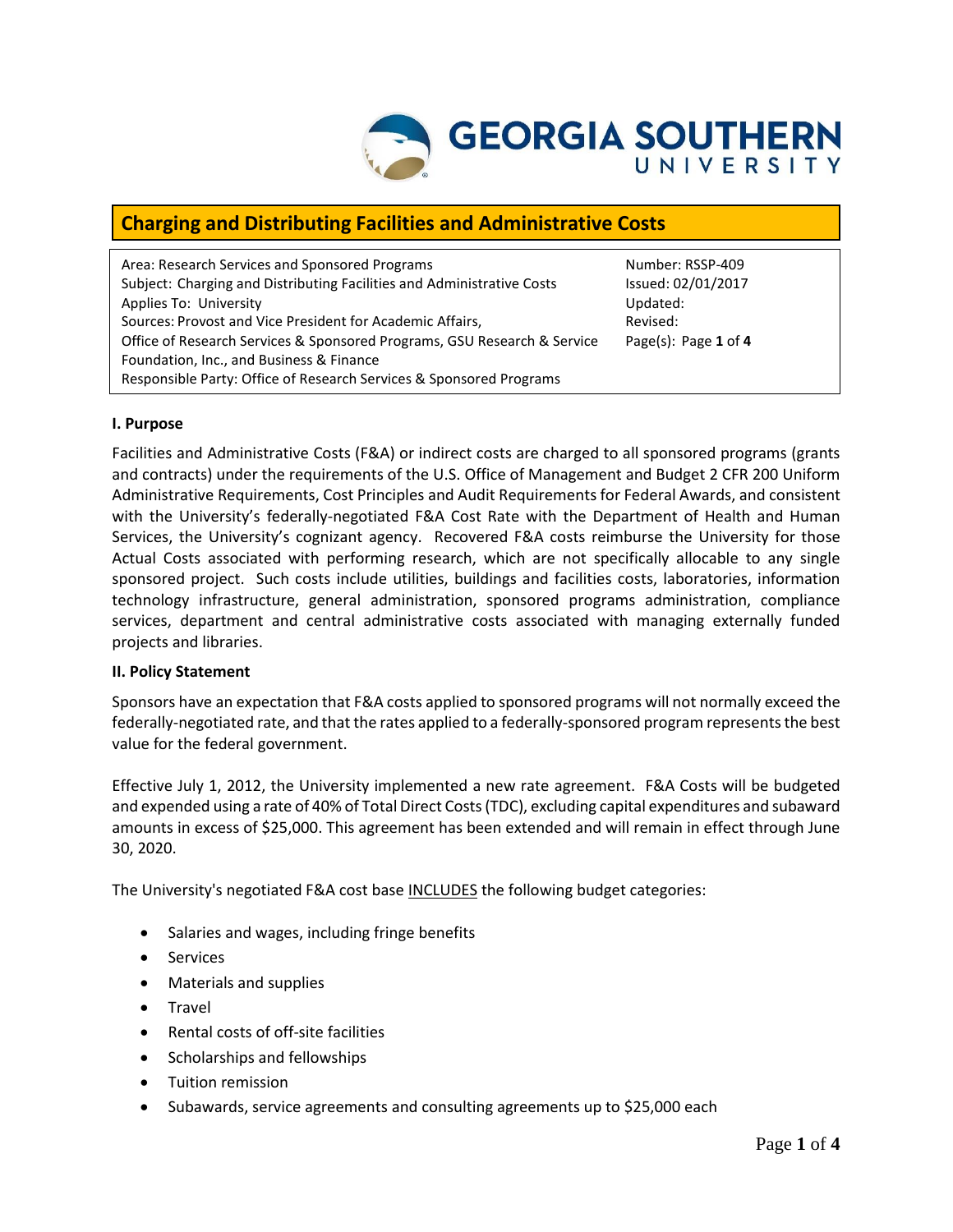

# **Charging and Distributing Facilities and Administrative Costs**

| Area: Research Services and Sponsored Programs                           | Number:        |
|--------------------------------------------------------------------------|----------------|
| Subject: Charging and Distributing Facilities and Administrative Costs   | Issued: 02     |
| Applies To: University                                                   | Updated:       |
| Sources: Provost and Vice President for Academic Affairs,                | Revised:       |
| Office of Research Services & Sponsored Programs, GSU Research & Service | Page $(s)$ : I |
| Foundation, Inc., and Business & Finance                                 |                |
| Responsible Party: Office of Research Services & Sponsored Programs      |                |

Number: RSSP-409 Issued: 02/01/2017 Page(s): Page 1 of 4

# **I. Purpose**

Facilities and Administrative Costs (F&A) or indirect costs are charged to all sponsored programs (grants and contracts) under the requirements of the U.S. Office of Management and Budget 2 CFR 200 Uniform Administrative Requirements, Cost Principles and Audit Requirements for Federal Awards, and consistent with the University's federally-negotiated F&A Cost Rate with the Department of Health and Human Services, the University's cognizant agency. Recovered F&A costs reimburse the University for those Actual Costs associated with performing research, which are not specifically allocable to any single sponsored project. Such costs include utilities, buildings and facilities costs, laboratories, information technology infrastructure, general administration, sponsored programs administration, compliance services, department and central administrative costs associated with managing externally funded projects and libraries.

#### **II. Policy Statement**

Sponsors have an expectation that F&A costs applied to sponsored programs will not normally exceed the federally-negotiated rate, and that the rates applied to a federally-sponsored program represents the best value for the federal government.

Effective July 1, 2012, the University implemented a new rate agreement. F&A Costs will be budgeted and expended using a rate of 40% of Total Direct Costs (TDC), excluding capital expenditures and subaward amounts in excess of \$25,000. This agreement has been extended and will remain in effect through June 30, 2020.

The University's negotiated F&A cost base INCLUDES the following budget categories:

- Salaries and wages, including fringe benefits
- Services
- Materials and supplies
- **•** Travel
- Rental costs of off-site facilities
- Scholarships and fellowships
- Tuition remission
- Subawards, service agreements and consulting agreements up to \$25,000 each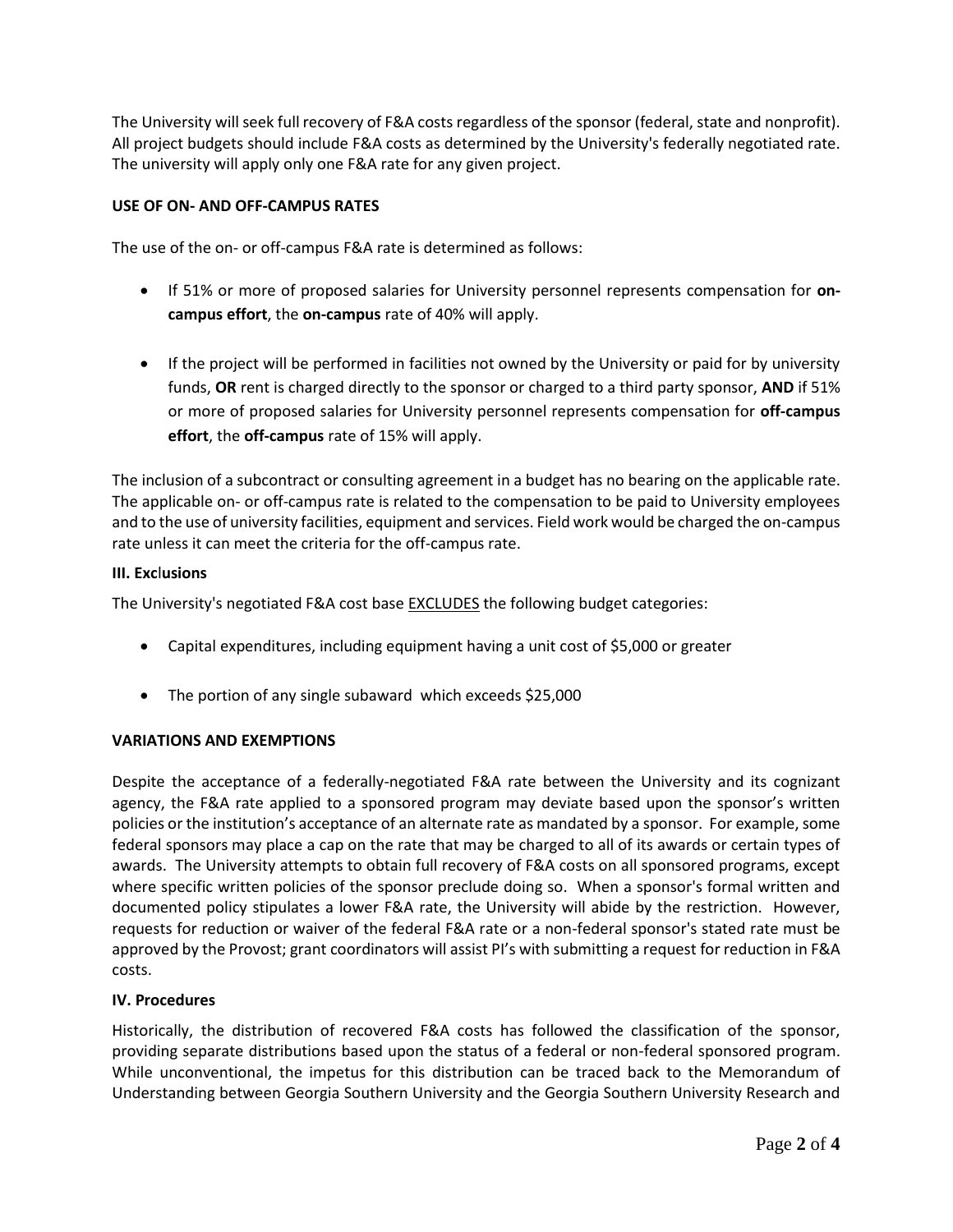The University will seek full recovery of F&A costs regardless of the sponsor (federal, state and nonprofit). All project budgets should include F&A costs as determined by the University's federally negotiated rate. The university will apply only one F&A rate for any given project.

# **USE OF ON- AND OFF-CAMPUS RATES**

The use of the on- or off-campus F&A rate is determined as follows:

- If 51% or more of proposed salaries for University personnel represents compensation for **oncampus effort**, the **on-campus** rate of 40% will apply.
- If the project will be performed in facilities not owned by the University or paid for by university funds, **OR** rent is charged directly to the sponsor or charged to a third party sponsor, **AND** if 51% or more of proposed salaries for University personnel represents compensation for **off-campus effort**, the **off-campus** rate of 15% will apply.

The inclusion of a subcontract or consulting agreement in a budget has no bearing on the applicable rate. The applicable on- or off-campus rate is related to the compensation to be paid to University employees and to the use of university facilities, equipment and services. Field work would be charged the on-campus rate unless it can meet the criteria for the off-campus rate.

# **III. Exc**l**usions**

The University's negotiated F&A cost base EXCLUDES the following budget categories:

- Capital expenditures, including equipment having a unit cost of \$5,000 or greater
- The portion of any single subaward which exceeds \$25,000

# **VARIATIONS AND EXEMPTIONS**

Despite the acceptance of a federally-negotiated F&A rate between the University and its cognizant agency, the F&A rate applied to a sponsored program may deviate based upon the sponsor's written policies or the institution's acceptance of an alternate rate as mandated by a sponsor. For example, some federal sponsors may place a cap on the rate that may be charged to all of its awards or certain types of awards. The University attempts to obtain full recovery of F&A costs on all sponsored programs, except where specific written policies of the sponsor preclude doing so. When a sponsor's formal written and documented policy stipulates a lower F&A rate, the University will abide by the restriction. However, requests for reduction or waiver of the federal F&A rate or a non-federal sponsor's stated rate must be approved by the Provost; grant coordinators will assist PI's with submitting a request for reduction in F&A costs.

# **IV. Procedures**

Historically, the distribution of recovered F&A costs has followed the classification of the sponsor, providing separate distributions based upon the status of a federal or non-federal sponsored program. While unconventional, the impetus for this distribution can be traced back to the Memorandum of Understanding between Georgia Southern University and the Georgia Southern University Research and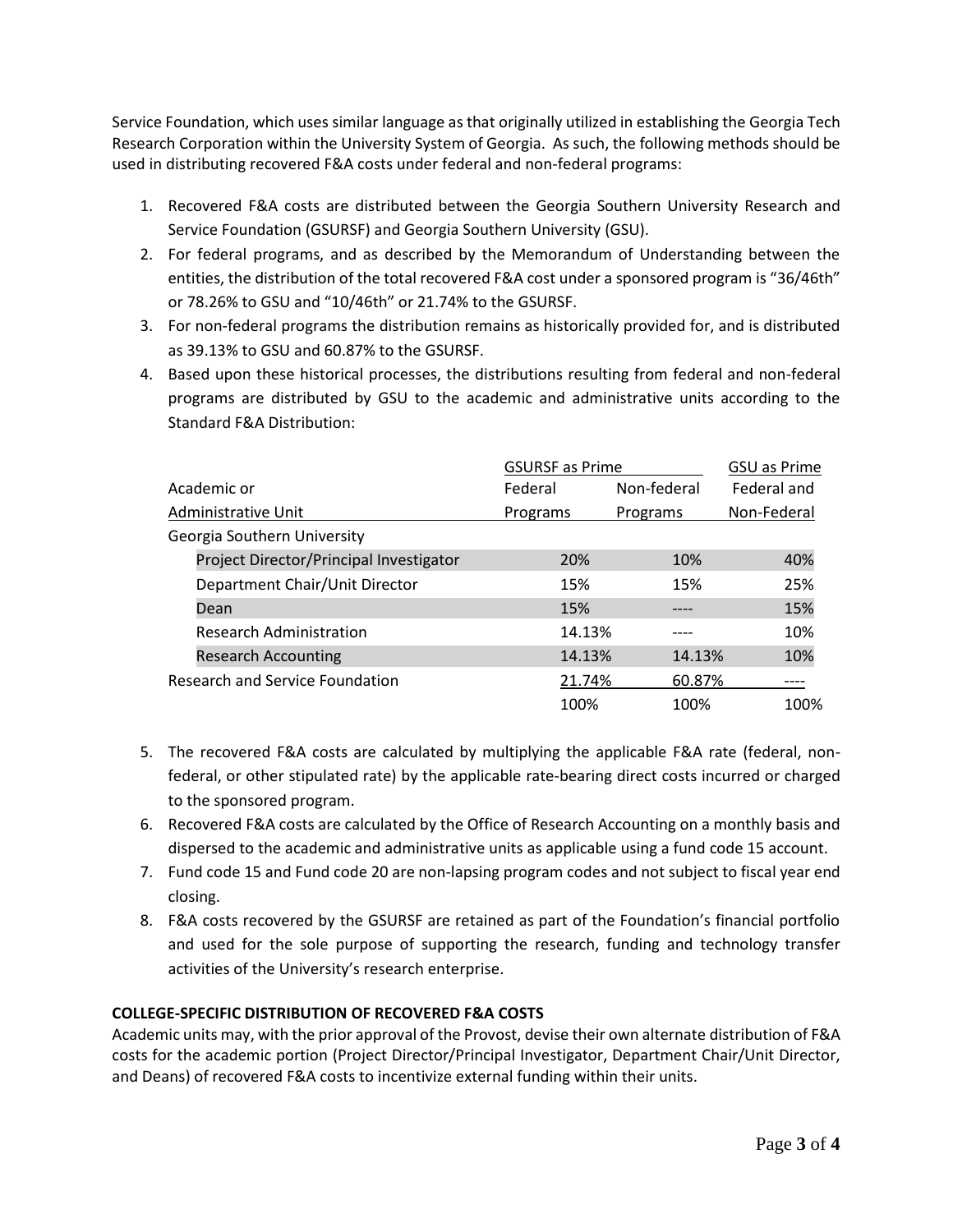Service Foundation, which uses similar language as that originally utilized in establishing the Georgia Tech Research Corporation within the University System of Georgia. As such, the following methods should be used in distributing recovered F&A costs under federal and non-federal programs:

- 1. Recovered F&A costs are distributed between the Georgia Southern University Research and Service Foundation (GSURSF) and Georgia Southern University (GSU).
- 2. For federal programs, and as described by the Memorandum of Understanding between the entities, the distribution of the total recovered F&A cost under a sponsored program is "36/46th" or 78.26% to GSU and "10/46th" or 21.74% to the GSURSF.
- 3. For non-federal programs the distribution remains as historically provided for, and is distributed as 39.13% to GSU and 60.87% to the GSURSF.
- 4. Based upon these historical processes, the distributions resulting from federal and non-federal programs are distributed by GSU to the academic and administrative units according to the Standard F&A Distribution:

|                                 |                                         | <b>GSURSF</b> as Prime |             | <b>GSU as Prime</b> |  |
|---------------------------------|-----------------------------------------|------------------------|-------------|---------------------|--|
| Academic or                     |                                         | Federal                | Non-federal | Federal and         |  |
|                                 | Administrative Unit                     | Programs               | Programs    | Non-Federal         |  |
|                                 | Georgia Southern University             |                        |             |                     |  |
|                                 | Project Director/Principal Investigator | 20%                    | 10%         | 40%                 |  |
|                                 | Department Chair/Unit Director          | 15%                    | 15%         | 25%                 |  |
|                                 | Dean                                    | 15%                    |             | 15%                 |  |
|                                 | <b>Research Administration</b>          | 14.13%                 |             | 10%                 |  |
|                                 | <b>Research Accounting</b>              | 14.13%                 | 14.13%      | 10%                 |  |
| Research and Service Foundation |                                         | 21.74%                 | 60.87%      |                     |  |
|                                 |                                         | 100%                   | 100%        | 100%                |  |

- 5. The recovered F&A costs are calculated by multiplying the applicable F&A rate (federal, nonfederal, or other stipulated rate) by the applicable rate-bearing direct costs incurred or charged to the sponsored program.
- 6. Recovered F&A costs are calculated by the Office of Research Accounting on a monthly basis and dispersed to the academic and administrative units as applicable using a fund code 15 account.
- 7. Fund code 15 and Fund code 20 are non-lapsing program codes and not subject to fiscal year end closing.
- 8. F&A costs recovered by the GSURSF are retained as part of the Foundation's financial portfolio and used for the sole purpose of supporting the research, funding and technology transfer activities of the University's research enterprise.

# **COLLEGE-SPECIFIC DISTRIBUTION OF RECOVERED F&A COSTS**

Academic units may, with the prior approval of the Provost, devise their own alternate distribution of F&A costs for the academic portion (Project Director/Principal Investigator, Department Chair/Unit Director, and Deans) of recovered F&A costs to incentivize external funding within their units.